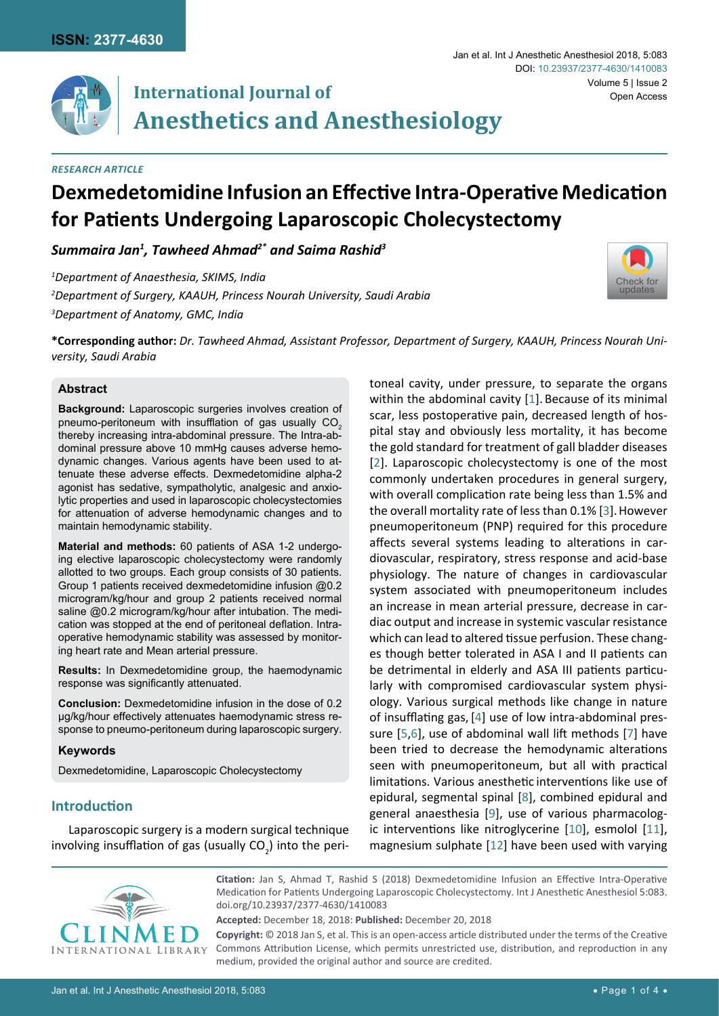

# **International Journal of Anesthetics and Anesthesiology**

#### *Research Article*

# **Dexmedetomidine Infusion an Effective Intra-Operative Medication for Patients Undergoing Laparoscopic Cholecystectomy**

*Summaira Jan1 , Tawheed Ahmad2\* and Saima Rashid3*

*1 Department of Anaesthesia, SKIMS, India 2 Department of Surgery, KAAUH, Princess Nourah University, Saudi Arabia 3 Department of Anatomy, GMC, India*



Volume 5 | Issue 2

Open Access

Jan et al. Int J Anesthetic Anesthesiol 2018, 5:083

DOI: [10.23937/2377-4630/1410083](https://doi.org/10.23937/2377-4630/1410083)

**\*Corresponding author:** *Dr. Tawheed Ahmad, Assistant Professor, Department of Surgery, KAAUH, Princess Nourah University, Saudi Arabia*

#### **Abstract**

**Background:** Laparoscopic surgeries involves creation of pneumo-peritoneum with insufflation of gas usually CO<sub>2</sub> thereby increasing intra-abdominal pressure. The Intra-abdominal pressure above 10 mmHg causes adverse hemodynamic changes. Various agents have been used to attenuate these adverse effects. Dexmedetomidine alpha-2 agonist has sedative, sympatholytic, analgesic and anxiolytic properties and used in laparoscopic cholecystectomies for attenuation of adverse hemodynamic changes and to maintain hemodynamic stability.

**Material and methods:** 60 patients of ASA 1-2 undergoing elective laparoscopic cholecystectomy were randomly allotted to two groups. Each group consists of 30 patients. Group 1 patients received dexmedetomidine infusion @0.2 microgram/kg/hour and group 2 patients received normal saline @0.2 microgram/kg/hour after intubation. The medication was stopped at the end of peritoneal deflation. Intraoperative hemodynamic stability was assessed by monitoring heart rate and Mean arterial pressure.

**Results:** In Dexmedetomidine group, the haemodynamic response was significantly attenuated.

**Conclusion:** Dexmedetomidine infusion in the dose of 0.2 µg/kg/hour effectively attenuates haemodynamic stress response to pneumo-peritoneum during laparoscopic surgery.

#### **Keywords**

Dexmedetomidine, Laparoscopic Cholecystectomy

# **Introduction**

Laparoscopic surgery is a modern surgical technique involving insufflation of gas (usually  $CO<sub>2</sub>$ ) into the peritoneal cavity, under pressure, to separate the organs within the abdominal cavity [[1](#page-3-0)]. Because of its minimal scar, less postoperative pain, decreased length of hospital stay and obviously less mortality, it has become the gold standard for treatment of gall bladder diseases [[2](#page-3-1)]. Laparoscopic cholecystectomy is one of the most commonly undertaken procedures in general surgery, with overall complication rate being less than 1.5% and the overall mortality rate of less than 0.1% [[3](#page-3-2)].However pneumoperitoneum (PNP) required for this procedure affects several systems leading to alterations in cardiovascular, respiratory, stress response and acid-base physiology. The nature of changes in cardiovascular system associated with pneumoperitoneum includes an increase in mean arterial pressure, decrease in cardiac output and increase in systemic vascular resistance which can lead to altered tissue perfusion. These changes though better tolerated in ASA I and II patients can be detrimental in elderly and ASA III patients particularly with compromised cardiovascular system physiology. Various surgical methods like change in nature of insufflating gas, [\[4\]](#page-3-3) use of low intra-abdominal pressure [\[5](#page-3-4),[6\]](#page-3-5), use of abdominal wall lift methods [\[7\]](#page-3-6) have been tried to decrease the hemodynamic alterations seen with pneumoperitoneum, but all with practical limitations. Various anesthetic interventions like use of epidural, segmental spinal [[8](#page-3-7)], combined epidural and general anaesthesia [[9](#page-3-8)], use of various pharmacologic interventions like nitroglycerine [[10](#page-3-9)], esmolol [[11\]](#page-3-10), magnesium sulphate [[12](#page-3-11)] have been used with varying



**Citation:** Jan S, Ahmad T, Rashid S (2018) Dexmedetomidine Infusion an Effective Intra-Operative Medication for Patients Undergoing Laparoscopic Cholecystectomy. Int J Anesthetic Anesthesiol 5:083. [doi.org/10.23937/2377-4630/1410083](https://doi.org/10.23937/2377-4630/1410083)

**Accepted:** December 18, 2018: **Published:** December 20, 2018

**Copyright:** © 2018 Jan S, et al. This is an open-access article distributed under the terms of the Creative Commons Attribution License, which permits unrestricted use, distribution, and reproduction in any medium, provided the original author and source are credited.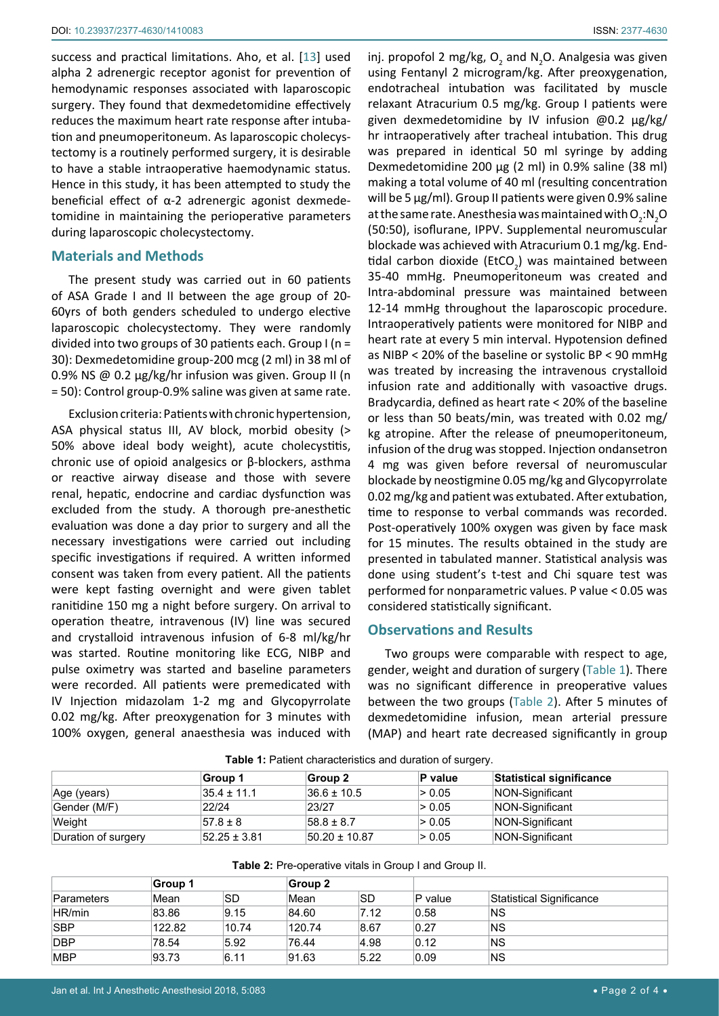success and practical limitations. Aho, et al. [[13](#page-3-12)] used alpha 2 adrenergic receptor agonist for prevention of hemodynamic responses associated with laparoscopic surgery. They found that dexmedetomidine effectively reduces the maximum heart rate response after intubation and pneumoperitoneum. As laparoscopic cholecystectomy is a routinely performed surgery, it is desirable to have a stable intraoperative haemodynamic status. Hence in this study, it has been attempted to study the beneficial effect of α-2 adrenergic agonist dexmedetomidine in maintaining the perioperative parameters during laparoscopic cholecystectomy.

#### **Materials and Methods**

The present study was carried out in 60 patients of ASA Grade I and II between the age group of 20- 60yrs of both genders scheduled to undergo elective laparoscopic cholecystectomy. They were randomly divided into two groups of 30 patients each. Group I (n = 30): Dexmedetomidine group-200 mcg (2 ml) in 38 ml of 0.9% NS @ 0.2 µg/kg/hr infusion was given. Group II (n = 50): Control group-0.9% saline was given at same rate.

Exclusion criteria: Patients with chronic hypertension, ASA physical status III, AV block, morbid obesity (> 50% above ideal body weight), acute cholecystitis, chronic use of opioid analgesics or β-blockers, asthma or reactive airway disease and those with severe renal, hepatic, endocrine and cardiac dysfunction was excluded from the study. A thorough pre-anesthetic evaluation was done a day prior to surgery and all the necessary investigations were carried out including specific investigations if required. A written informed consent was taken from every patient. All the patients were kept fasting overnight and were given tablet ranitidine 150 mg a night before surgery. On arrival to operation theatre, intravenous (IV) line was secured and crystalloid intravenous infusion of 6-8 ml/kg/hr was started. Routine monitoring like ECG, NIBP and pulse oximetry was started and baseline parameters were recorded. All patients were premedicated with IV Injection midazolam 1-2 mg and Glycopyrrolate 0.02 mg/kg. After preoxygenation for 3 minutes with 100% oxygen, general anaesthesia was induced with

inj. propofol 2 mg/kg,  $O_2$  and N<sub>2</sub>O. Analgesia was given using Fentanyl 2 microgram/kg. After preoxygenation, endotracheal intubation was facilitated by muscle relaxant Atracurium 0.5 mg/kg. Group I patients were given dexmedetomidine by IV infusion @0.2 µg/kg/ hr intraoperatively after tracheal intubation. This drug was prepared in identical 50 ml syringe by adding Dexmedetomidine 200 µg (2 ml) in 0.9% saline (38 ml) making a total volume of 40 ml (resulting concentration will be 5 μg/ml). Group II patients were given 0.9% saline at the same rate. Anesthesia was maintained with  $\mathsf{O}_2\text{:}\mathsf{N}_2\mathsf{O}$ (50:50), isoflurane, IPPV. Supplemental neuromuscular blockade was achieved with Atracurium 0.1 mg/kg. Endtidal carbon dioxide (EtCO<sub>2</sub>) was maintained between 35-40 mmHg. Pneumoperitoneum was created and Intra-abdominal pressure was maintained between 12-14 mmHg throughout the laparoscopic procedure. Intraoperatively patients were monitored for NIBP and heart rate at every 5 min interval. Hypotension defined as NIBP < 20% of the baseline or systolic BP < 90 mmHg was treated by increasing the intravenous crystalloid infusion rate and additionally with vasoactive drugs. Bradycardia, defined as heart rate < 20% of the baseline or less than 50 beats/min, was treated with 0.02 mg/ kg atropine. After the release of pneumoperitoneum, infusion of the drug was stopped. Injection ondansetron 4 mg was given before reversal of neuromuscular blockade by neostigmine 0.05 mg/kg and Glycopyrrolate 0.02 mg/kg and patient was extubated. After extubation, time to response to verbal commands was recorded. Post-operatively 100% oxygen was given by face mask for 15 minutes. The results obtained in the study are presented in tabulated manner. Statistical analysis was done using student's t-test and Chi square test was performed for nonparametric values. P value < 0.05 was considered statistically significant.

#### **Observations and Results**

Two groups were comparable with respect to age, gender, weight and duration of surgery ([Table 1](#page-1-0)). There was no significant difference in preoperative values between the two groups [\(Table 2\)](#page-1-1). After 5 minutes of dexmedetomidine infusion, mean arterial pressure (MAP) and heart rate decreased significantly in group

|                     | Group 1           | Group 2           | P value | Statistical significance |  |  |  |  |
|---------------------|-------------------|-------------------|---------|--------------------------|--|--|--|--|
| Age (years)         | $35.4 \pm 11.1$   | $36.6 \pm 10.5$   | > 0.05  | NON-Significant          |  |  |  |  |
| Gender (M/F)        | 22/24             | 23/27             | > 0.05  | NON-Significant          |  |  |  |  |
| Weight              | $57.8 \pm 8$      | $58.8 \pm 8.7$    | > 0.05  | NON-Significant          |  |  |  |  |
| Duration of surgery | $152.25 \pm 3.81$ | $50.20 \pm 10.87$ | > 0.05  | NON-Significant          |  |  |  |  |

<span id="page-1-0"></span>**Table 1:** Patient characteristics and duration of surgery.

|            | Group 1 |           |        | Group 2   |           |                          |  |
|------------|---------|-----------|--------|-----------|-----------|--------------------------|--|
| Parameters | Mean    | <b>SD</b> | Mean   | <b>SD</b> | $P$ value | Statistical Significance |  |
| HR/min     | 83.86   | 9.15      | 84.60  | 7.12      | 0.58      | ΝS                       |  |
| <b>SBP</b> | 122.82  | 10.74     | 120.74 | 8.67      | 0.27      | ΝS                       |  |
| <b>DBP</b> | 78.54   | 5.92      | 76.44  | 4.98      | 0.12      | ΝS                       |  |
| <b>MBP</b> | 93.73   | 6.11      | 91.63  | 5.22      | 0.09      | ΝS                       |  |

<span id="page-1-1"></span>**Table 2:** Pre-operative vitals in Group I and Group II.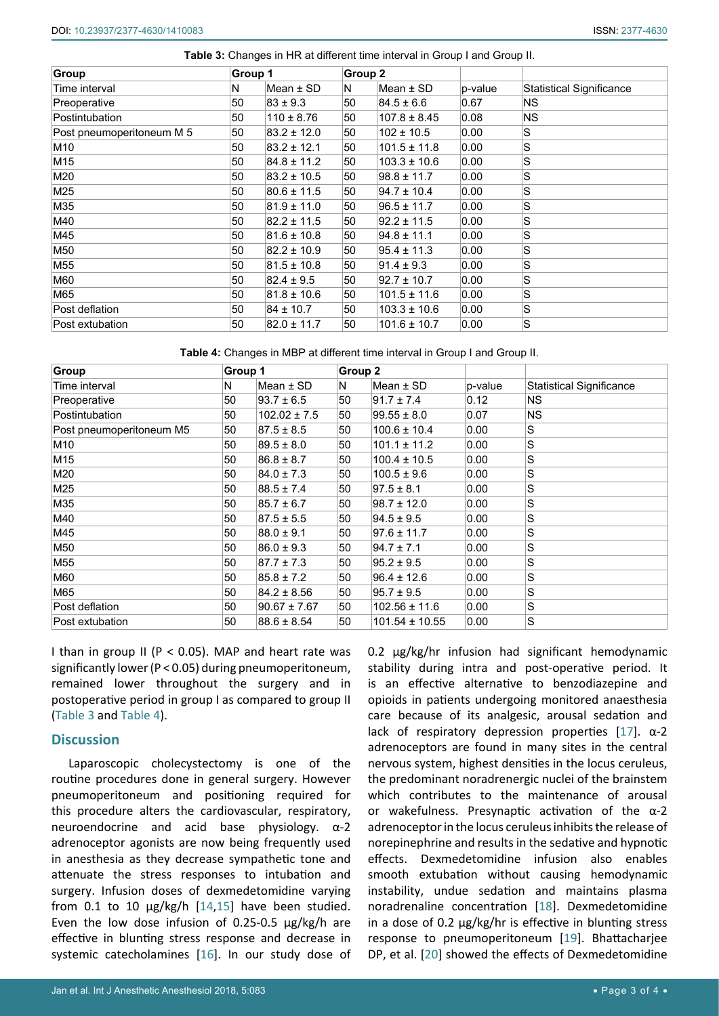<span id="page-2-0"></span>

| Group                     | Group 1 |                 | Group 2 |                  |         |                                 |
|---------------------------|---------|-----------------|---------|------------------|---------|---------------------------------|
| Time interval             | N       | Mean $\pm$ SD   | N       | Mean $\pm$ SD    | p-value | <b>Statistical Significance</b> |
| Preoperative              | 50      | $83 \pm 9.3$    | 50      | $84.5 \pm 6.6$   | 0.67    | NS.                             |
| Postintubation            | 50      | $110 \pm 8.76$  | 50      | $107.8 \pm 8.45$ | 0.08    | <b>NS</b>                       |
| Post pneumoperitoneum M 5 | 50      | $83.2 \pm 12.0$ | 50      | $102 \pm 10.5$   | 0.00    | S                               |
| M10                       | 50      | $83.2 \pm 12.1$ | 50      | $101.5 \pm 11.8$ | 0.00    | S                               |
| M15                       | 50      | $84.8 \pm 11.2$ | 50      | $103.3 \pm 10.6$ | 0.00    | S                               |
| M20                       | 50      | $83.2 \pm 10.5$ | 50      | $98.8 \pm 11.7$  | 0.00    | S                               |
| M25                       | 50      | $80.6 \pm 11.5$ | 50      | $94.7 \pm 10.4$  | 0.00    | S                               |
| M35                       | 50      | $81.9 \pm 11.0$ | 50      | $96.5 \pm 11.7$  | 0.00    | S                               |
| M40                       | 50      | $82.2 \pm 11.5$ | 50      | $92.2 \pm 11.5$  | 0.00    | S                               |
| M45                       | 50      | $81.6 \pm 10.8$ | 50      | $94.8 \pm 11.1$  | 0.00    | S                               |
| M50                       | 50      | $82.2 \pm 10.9$ | 50      | $95.4 \pm 11.3$  | 0.00    | S                               |
| M55                       | 50      | $81.5 \pm 10.8$ | 50      | $91.4 \pm 9.3$   | 0.00    | S                               |
| M60                       | 50      | $82.4 \pm 9.5$  | 50      | $92.7 \pm 10.7$  | 0.00    | S                               |
| M65                       | 50      | $81.8 \pm 10.6$ | 50      | $101.5 \pm 11.6$ | 0.00    | S                               |
| Post deflation            | 50      | $84 \pm 10.7$   | 50      | $103.3 \pm 10.6$ | 0.00    | S                               |
| Post extubation           | 50      | $82.0 \pm 11.7$ | 50      | $101.6 \pm 10.7$ | 0.00    | S                               |

<span id="page-2-1"></span>**Table 4:** Changes in MBP at different time interval in Group I and Group II.

| <b>Group</b>             | Group 1 |                  | Group 2 |                    |         |                                 |
|--------------------------|---------|------------------|---------|--------------------|---------|---------------------------------|
| Time interval            | N       | Mean $\pm$ SD    | N       | Mean $\pm$ SD      | p-value | <b>Statistical Significance</b> |
| Preoperative             | 50      | $93.7 \pm 6.5$   | 50      | $91.7 \pm 7.4$     | 0.12    | ΝS                              |
| Postintubation           | 50      | $102.02 \pm 7.5$ | 50      | $99.55 \pm 8.0$    | 0.07    | <b>NS</b>                       |
| Post pneumoperitoneum M5 | 50      | $87.5 \pm 8.5$   | 50      | $100.6 \pm 10.4$   | 0.00    | S                               |
| M10                      | 50      | $89.5 \pm 8.0$   | 50      | $101.1 \pm 11.2$   | 0.00    | S                               |
| M15                      | 50      | $86.8 \pm 8.7$   | 50      | $100.4 \pm 10.5$   | 0.00    | S                               |
| M20                      | 50      | $84.0 \pm 7.3$   | 50      | $100.5 \pm 9.6$    | 0.00    | S                               |
| M25                      | 50      | $88.5 \pm 7.4$   | 50      | $97.5 \pm 8.1$     | 0.00    | S                               |
| M35                      | 50      | $85.7 \pm 6.7$   | 50      | $98.7 \pm 12.0$    | 0.00    | S                               |
| M40                      | 50      | $87.5 \pm 5.5$   | 50      | $94.5 \pm 9.5$     | 0.00    | S                               |
| M45                      | 50      | $88.0 \pm 9.1$   | 50      | $97.6 \pm 11.7$    | 0.00    | S                               |
| M50                      | 50      | $86.0 \pm 9.3$   | 50      | $94.7 \pm 7.1$     | 0.00    | S                               |
| M55                      | 50      | $87.7 \pm 7.3$   | 50      | $95.2 \pm 9.5$     | 0.00    | S                               |
| M60                      | 50      | $85.8 \pm 7.2$   | 50      | $96.4 \pm 12.6$    | 0.00    | $\mathbf S$                     |
| M65                      | 50      | $84.2 \pm 8.56$  | 50      | $95.7 \pm 9.5$     | 0.00    | S                               |
| Post deflation           | 50      | $90.67 \pm 7.67$ | 50      | $102.56 \pm 11.6$  | 0.00    | S                               |
| Post extubation          | 50      | $88.6 \pm 8.54$  | 50      | $101.54 \pm 10.55$ | 0.00    | S                               |

I than in group II ( $P < 0.05$ ). MAP and heart rate was significantly lower (P < 0.05) during pneumoperitoneum, remained lower throughout the surgery and in postoperative period in group I as compared to group II ([Table 3](#page-2-0) and [Table 4\)](#page-2-1).

# **Discussion**

Laparoscopic cholecystectomy is one of the routine procedures done in general surgery. However pneumoperitoneum and positioning required for this procedure alters the cardiovascular, respiratory, neuroendocrine and acid base physiology. α-2 adrenoceptor agonists are now being frequently used in anesthesia as they decrease sympathetic tone and attenuate the stress responses to intubation and surgery. Infusion doses of dexmedetomidine varying from 0.1 to 10  $\mu$ g/kg/h [\[14](#page-3-17),[15\]](#page-3-18) have been studied. Even the low dose infusion of 0.25-0.5  $\mu$ g/kg/h are effective in blunting stress response and decrease in systemic catecholamines [[16](#page-3-19)]. In our study dose of

0.2 μg/kg/hr infusion had significant hemodynamic stability during intra and post-operative period. It is an effective alternative to benzodiazepine and opioids in patients undergoing monitored anaesthesia care because of its analgesic, arousal sedation and lack of respiratory depression properties [\[17\]](#page-3-13). α-2 adrenoceptors are found in many sites in the central nervous system, highest densities in the locus ceruleus, the predominant noradrenergic nuclei of the brainstem which contributes to the maintenance of arousal or wakefulness. Presynaptic activation of the α-2 adrenoceptor in the locus ceruleus inhibits the release of norepinephrine and results in the sedative and hypnotic effects. Dexmedetomidine infusion also enables smooth extubation without causing hemodynamic instability, undue sedation and maintains plasma noradrenaline concentration [[18](#page-3-14)]. Dexmedetomidine in a dose of 0.2 µg/kg/hr is effective in blunting stress response to pneumoperitoneum [[19](#page-3-15)]. Bhattacharjee DP, et al. [[20](#page-3-16)] showed the effects of Dexmedetomidine